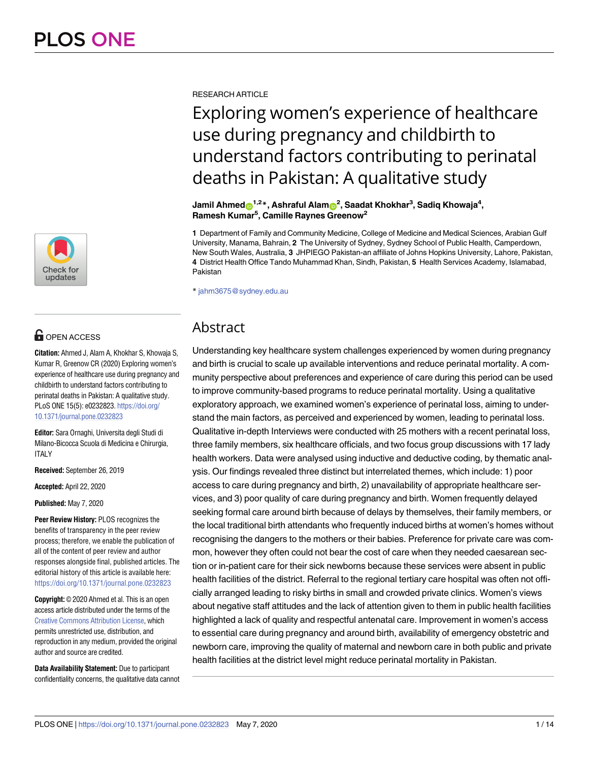

# **OPEN ACCESS**

**Citation:** Ahmed J, Alam A, Khokhar S, Khowaja S, Kumar R, Greenow CR (2020) Exploring women's experience of healthcare use during pregnancy and childbirth to understand factors contributing to perinatal deaths in Pakistan: A qualitative study. PLoS ONE 15(5): e0232823. [https://doi.org/](https://doi.org/10.1371/journal.pone.0232823) [10.1371/journal.pone.0232823](https://doi.org/10.1371/journal.pone.0232823)

**Editor:** Sara Ornaghi, Universita degli Studi di Milano-Bicocca Scuola di Medicina e Chirurgia, ITALY

**Received:** September 26, 2019

**Accepted:** April 22, 2020

**Published:** May 7, 2020

**Peer Review History:** PLOS recognizes the benefits of transparency in the peer review process; therefore, we enable the publication of all of the content of peer review and author responses alongside final, published articles. The editorial history of this article is available here: <https://doi.org/10.1371/journal.pone.0232823>

**Copyright:** © 2020 Ahmed et al. This is an open access article distributed under the terms of the Creative Commons [Attribution](http://creativecommons.org/licenses/by/4.0/) License, which permits unrestricted use, distribution, and reproduction in any medium, provided the original author and source are credited.

**Data Availability Statement:** Due to participant confidentiality concerns, the qualitative data cannot RESEARCH ARTICLE

Exploring women's experience of healthcare use during pregnancy and childbirth to understand factors contributing to perinatal deaths in Pakistan: A qualitative study

 $\delta$ Jamil <code>Ahmed $\mathbf{\Theta}^{1,2\,*}$ , Ashraful Alam $\mathbf{\Theta}^{2}$ , Saadat Khokhar $^{3}$ , Sadiq Khowaja $^{4}$ ,</code> **Ramesh Kumar5 , Camille Raynes Greenow2**

**1** Department of Family and Community Medicine, College of Medicine and Medical Sciences, Arabian Gulf University, Manama, Bahrain, **2** The University of Sydney, Sydney School of Public Health, Camperdown, New South Wales, Australia, **3** JHPIEGO Pakistan-an affiliate of Johns Hopkins University, Lahore, Pakistan, **4** District Health Office Tando Muhammad Khan, Sindh, Pakistan, **5** Health Services Academy, Islamabad, Pakistan

\* jahm3675@sydney.edu.au

## Abstract

Understanding key healthcare system challenges experienced by women during pregnancy and birth is crucial to scale up available interventions and reduce perinatal mortality. A community perspective about preferences and experience of care during this period can be used to improve community-based programs to reduce perinatal mortality. Using a qualitative exploratory approach, we examined women's experience of perinatal loss, aiming to understand the main factors, as perceived and experienced by women, leading to perinatal loss. Qualitative in-depth Interviews were conducted with 25 mothers with a recent perinatal loss, three family members, six healthcare officials, and two focus group discussions with 17 lady health workers. Data were analysed using inductive and deductive coding, by thematic analysis. Our findings revealed three distinct but interrelated themes, which include: 1) poor access to care during pregnancy and birth, 2) unavailability of appropriate healthcare services, and 3) poor quality of care during pregnancy and birth. Women frequently delayed seeking formal care around birth because of delays by themselves, their family members, or the local traditional birth attendants who frequently induced births at women's homes without recognising the dangers to the mothers or their babies. Preference for private care was common, however they often could not bear the cost of care when they needed caesarean section or in-patient care for their sick newborns because these services were absent in public health facilities of the district. Referral to the regional tertiary care hospital was often not officially arranged leading to risky births in small and crowded private clinics. Women's views about negative staff attitudes and the lack of attention given to them in public health facilities highlighted a lack of quality and respectful antenatal care. Improvement in women's access to essential care during pregnancy and around birth, availability of emergency obstetric and newborn care, improving the quality of maternal and newborn care in both public and private health facilities at the district level might reduce perinatal mortality in Pakistan.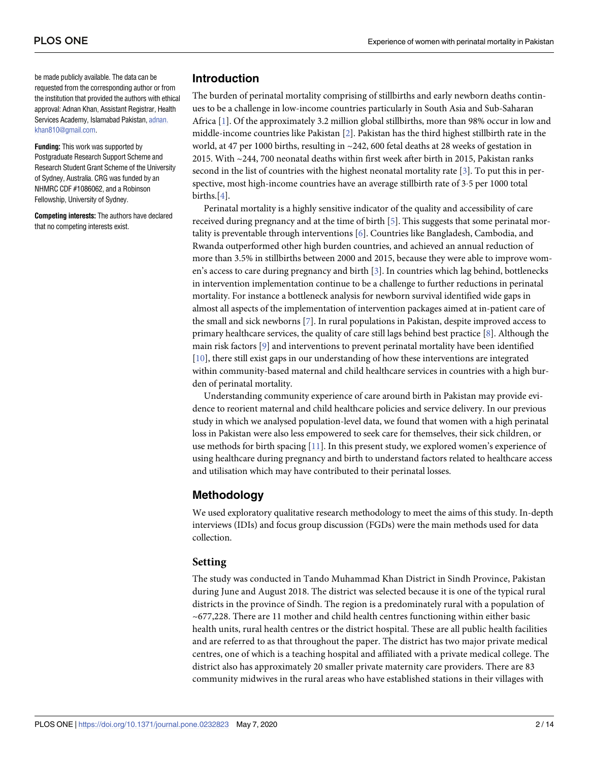<span id="page-1-0"></span>be made publicly available. The data can be requested from the corresponding author or from the institution that provided the authors with ethical approval: Adnan Khan, Assistant Registrar, Health Services Academy, Islamabad Pakistan, [adnan.](mailto:adnan.khan810@gmail.com) [khan810@gmail.com](mailto:adnan.khan810@gmail.com).

**Funding:** This work was supported by Postgraduate Research Support Scheme and Research Student Grant Scheme of the University of Sydney, Australia. CRG was funded by an NHMRC CDF #1086062, and a Robinson Fellowship, University of Sydney.

**Competing interests:** The authors have declared that no competing interests exist.

## **Introduction**

The burden of perinatal mortality comprising of stillbirths and early newborn deaths continues to be a challenge in low-income countries particularly in South Asia and Sub-Saharan Africa [\[1](#page-12-0)]. Of the approximately 3.2 million global stillbirths, more than 98% occur in low and middle-income countries like Pakistan [\[2](#page-12-0)]. Pakistan has the third highest stillbirth rate in the world, at 47 per 1000 births, resulting in  $\sim$ 242, 600 fetal deaths at 28 weeks of gestation in 2015. With ~244, 700 neonatal deaths within first week after birth in 2015, Pakistan ranks second in the list of countries with the highest neonatal mortality rate [[3\]](#page-12-0). To put this in perspective, most high-income countries have an average stillbirth rate of 3.5 per 1000 total births.[[4\]](#page-12-0).

Perinatal mortality is a highly sensitive indicator of the quality and accessibility of care received during pregnancy and at the time of birth [\[5\]](#page-12-0). This suggests that some perinatal mortality is preventable through interventions [[6](#page-12-0)]. Countries like Bangladesh, Cambodia, and Rwanda outperformed other high burden countries, and achieved an annual reduction of more than 3.5% in stillbirths between 2000 and 2015, because they were able to improve women's access to care during pregnancy and birth [\[3\]](#page-12-0). In countries which lag behind, bottlenecks in intervention implementation continue to be a challenge to further reductions in perinatal mortality. For instance a bottleneck analysis for newborn survival identified wide gaps in almost all aspects of the implementation of intervention packages aimed at in-patient care of the small and sick newborns [\[7\]](#page-12-0). In rural populations in Pakistan, despite improved access to primary healthcare services, the quality of care still lags behind best practice [\[8](#page-12-0)]. Although the main risk factors [\[9](#page-12-0)] and interventions to prevent perinatal mortality have been identified [\[10\]](#page-12-0), there still exist gaps in our understanding of how these interventions are integrated within community-based maternal and child healthcare services in countries with a high burden of perinatal mortality.

Understanding community experience of care around birth in Pakistan may provide evidence to reorient maternal and child healthcare policies and service delivery. In our previous study in which we analysed population-level data, we found that women with a high perinatal loss in Pakistan were also less empowered to seek care for themselves, their sick children, or use methods for birth spacing [[11](#page-12-0)]. In this present study, we explored women's experience of using healthcare during pregnancy and birth to understand factors related to healthcare access and utilisation which may have contributed to their perinatal losses.

## **Methodology**

We used exploratory qualitative research methodology to meet the aims of this study. In-depth interviews (IDIs) and focus group discussion (FGDs) were the main methods used for data collection.

#### **Setting**

The study was conducted in Tando Muhammad Khan District in Sindh Province, Pakistan during June and August 2018. The district was selected because it is one of the typical rural districts in the province of Sindh. The region is a predominately rural with a population of  $\sim$  677,228. There are 11 mother and child health centres functioning within either basic health units, rural health centres or the district hospital. These are all public health facilities and are referred to as that throughout the paper. The district has two major private medical centres, one of which is a teaching hospital and affiliated with a private medical college. The district also has approximately 20 smaller private maternity care providers. There are 83 community midwives in the rural areas who have established stations in their villages with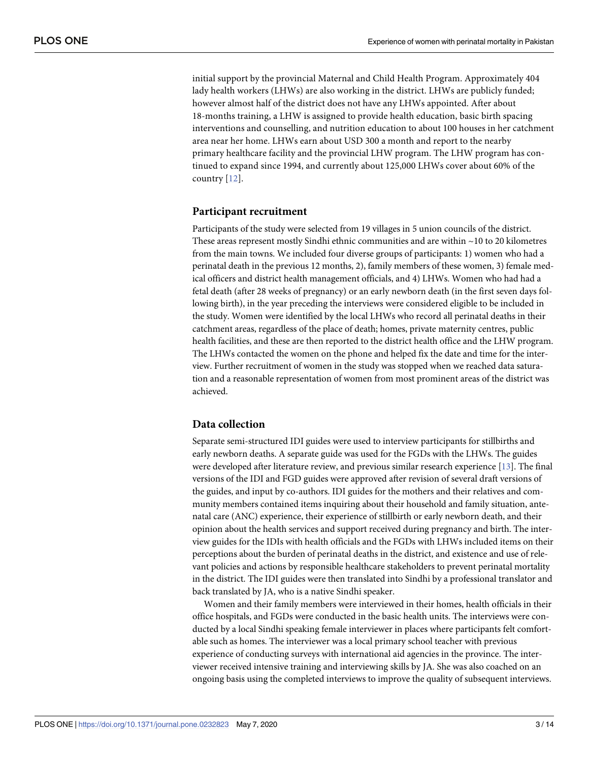<span id="page-2-0"></span>initial support by the provincial Maternal and Child Health Program. Approximately 404 lady health workers (LHWs) are also working in the district. LHWs are publicly funded; however almost half of the district does not have any LHWs appointed. After about 18-months training, a LHW is assigned to provide health education, basic birth spacing interventions and counselling, and nutrition education to about 100 houses in her catchment area near her home. LHWs earn about USD 300 a month and report to the nearby primary healthcare facility and the provincial LHW program. The LHW program has continued to expand since 1994, and currently about 125,000 LHWs cover about 60% of the country  $[12]$  $[12]$  $[12]$ .

## **Participant recruitment**

Participants of the study were selected from 19 villages in 5 union councils of the district. These areas represent mostly Sindhi ethnic communities and are within ~10 to 20 kilometres from the main towns. We included four diverse groups of participants: 1) women who had a perinatal death in the previous 12 months, 2), family members of these women, 3) female medical officers and district health management officials, and 4) LHWs. Women who had had a fetal death (after 28 weeks of pregnancy) or an early newborn death (in the first seven days following birth), in the year preceding the interviews were considered eligible to be included in the study. Women were identified by the local LHWs who record all perinatal deaths in their catchment areas, regardless of the place of death; homes, private maternity centres, public health facilities, and these are then reported to the district health office and the LHW program. The LHWs contacted the women on the phone and helped fix the date and time for the interview. Further recruitment of women in the study was stopped when we reached data saturation and a reasonable representation of women from most prominent areas of the district was achieved.

#### **Data collection**

Separate semi-structured IDI guides were used to interview participants for stillbirths and early newborn deaths. A separate guide was used for the FGDs with the LHWs. The guides were developed after literature review, and previous similar research experience [[13](#page-12-0)]. The final versions of the IDI and FGD guides were approved after revision of several draft versions of the guides, and input by co-authors. IDI guides for the mothers and their relatives and community members contained items inquiring about their household and family situation, antenatal care (ANC) experience, their experience of stillbirth or early newborn death, and their opinion about the health services and support received during pregnancy and birth. The interview guides for the IDIs with health officials and the FGDs with LHWs included items on their perceptions about the burden of perinatal deaths in the district, and existence and use of relevant policies and actions by responsible healthcare stakeholders to prevent perinatal mortality in the district. The IDI guides were then translated into Sindhi by a professional translator and back translated by JA, who is a native Sindhi speaker.

Women and their family members were interviewed in their homes, health officials in their office hospitals, and FGDs were conducted in the basic health units. The interviews were conducted by a local Sindhi speaking female interviewer in places where participants felt comfortable such as homes. The interviewer was a local primary school teacher with previous experience of conducting surveys with international aid agencies in the province. The interviewer received intensive training and interviewing skills by JA. She was also coached on an ongoing basis using the completed interviews to improve the quality of subsequent interviews.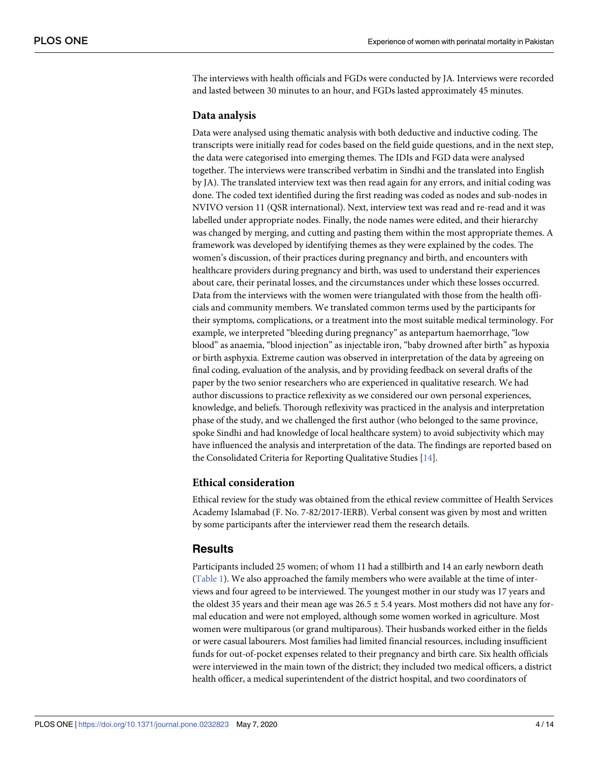<span id="page-3-0"></span>The interviews with health officials and FGDs were conducted by JA. Interviews were recorded and lasted between 30 minutes to an hour, and FGDs lasted approximately 45 minutes.

#### **Data analysis**

Data were analysed using thematic analysis with both deductive and inductive coding. The transcripts were initially read for codes based on the field guide questions, and in the next step, the data were categorised into emerging themes. The IDIs and FGD data were analysed together. The interviews were transcribed verbatim in Sindhi and the translated into English by JA). The translated interview text was then read again for any errors, and initial coding was done. The coded text identified during the first reading was coded as nodes and sub-nodes in NVIVO version 11 (QSR international). Next, interview text was read and re-read and it was labelled under appropriate nodes. Finally, the node names were edited, and their hierarchy was changed by merging, and cutting and pasting them within the most appropriate themes. A framework was developed by identifying themes as they were explained by the codes. The women's discussion, of their practices during pregnancy and birth, and encounters with healthcare providers during pregnancy and birth, was used to understand their experiences about care, their perinatal losses, and the circumstances under which these losses occurred. Data from the interviews with the women were triangulated with those from the health officials and community members. We translated common terms used by the participants for their symptoms, complications, or a treatment into the most suitable medical terminology. For example, we interpreted "bleeding during pregnancy" as antepartum haemorrhage, "low blood" as anaemia, "blood injection" as injectable iron, "baby drowned after birth" as hypoxia or birth asphyxia. Extreme caution was observed in interpretation of the data by agreeing on final coding, evaluation of the analysis, and by providing feedback on several drafts of the paper by the two senior researchers who are experienced in qualitative research. We had author discussions to practice reflexivity as we considered our own personal experiences, knowledge, and beliefs. Thorough reflexivity was practiced in the analysis and interpretation phase of the study, and we challenged the first author (who belonged to the same province, spoke Sindhi and had knowledge of local healthcare system) to avoid subjectivity which may have influenced the analysis and interpretation of the data. The findings are reported based on the Consolidated Criteria for Reporting Qualitative Studies [\[14\]](#page-12-0).

#### **Ethical consideration**

Ethical review for the study was obtained from the ethical review committee of Health Services Academy Islamabad (F. No. 7-82/2017-IERB). Verbal consent was given by most and written by some participants after the interviewer read them the research details.

## **Results**

Participants included 25 women; of whom 11 had a stillbirth and 14 an early newborn death [\(Table](#page-4-0) 1). We also approached the family members who were available at the time of interviews and four agreed to be interviewed. The youngest mother in our study was 17 years and the oldest 35 years and their mean age was  $26.5 \pm 5.4$  years. Most mothers did not have any formal education and were not employed, although some women worked in agriculture. Most women were multiparous (or grand multiparous). Their husbands worked either in the fields or were casual labourers. Most families had limited financial resources, including insufficient funds for out-of-pocket expenses related to their pregnancy and birth care. Six health officials were interviewed in the main town of the district; they included two medical officers, a district health officer, a medical superintendent of the district hospital, and two coordinators of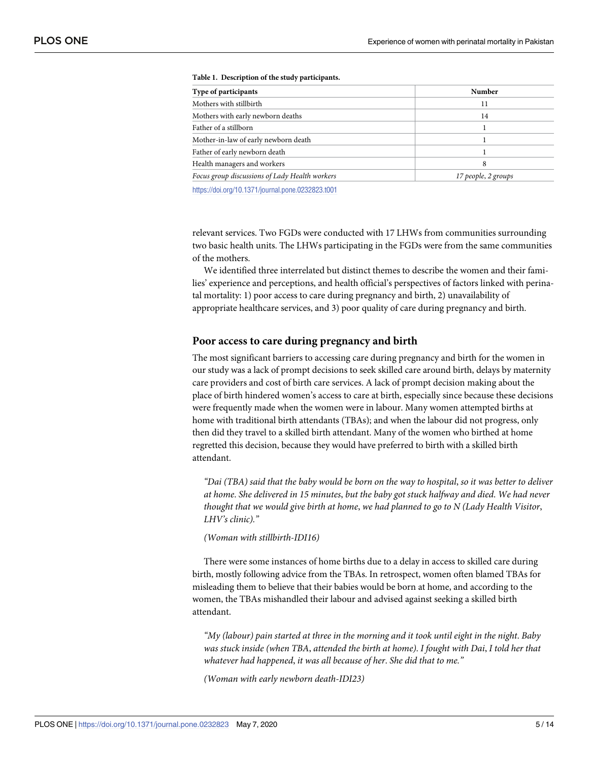| Type of participants                           | <b>Number</b>       |
|------------------------------------------------|---------------------|
| Mothers with stillbirth                        | 11                  |
| Mothers with early newborn deaths              | 14                  |
| Father of a stillborn                          |                     |
| Mother-in-law of early newborn death           |                     |
| Father of early newborn death                  |                     |
| Health managers and workers                    | 8                   |
| Focus group discussions of Lady Health workers | 17 people, 2 groups |

#### <span id="page-4-0"></span>**[Table](#page-3-0) 1. Description of the study participants.**

<https://doi.org/10.1371/journal.pone.0232823.t001>

relevant services. Two FGDs were conducted with 17 LHWs from communities surrounding two basic health units. The LHWs participating in the FGDs were from the same communities of the mothers.

We identified three interrelated but distinct themes to describe the women and their families' experience and perceptions, and health official's perspectives of factors linked with perinatal mortality: 1) poor access to care during pregnancy and birth, 2) unavailability of appropriate healthcare services, and 3) poor quality of care during pregnancy and birth.

#### **Poor access to care during pregnancy and birth**

The most significant barriers to accessing care during pregnancy and birth for the women in our study was a lack of prompt decisions to seek skilled care around birth, delays by maternity care providers and cost of birth care services. A lack of prompt decision making about the place of birth hindered women's access to care at birth, especially since because these decisions were frequently made when the women were in labour. Many women attempted births at home with traditional birth attendants (TBAs); and when the labour did not progress, only then did they travel to a skilled birth attendant. Many of the women who birthed at home regretted this decision, because they would have preferred to birth with a skilled birth attendant.

"Dai (TBA) said that the baby would be born on the way to hospital, so it was better to deliver *at home*. *She delivered in 15 minutes*, *but the baby got stuck halfway and died*. *We had never thought that we would give birth at home*, *we had planned to go to N (Lady Health Visitor*, *LHV's clinic)."*

*(Woman with stillbirth-IDI16)*

There were some instances of home births due to a delay in access to skilled care during birth, mostly following advice from the TBAs. In retrospect, women often blamed TBAs for misleading them to believe that their babies would be born at home, and according to the women, the TBAs mishandled their labour and advised against seeking a skilled birth attendant.

*"My (labour) pain started at three in the morning and it took until eight in the night*. *Baby was stuck inside (when TBA*, *attended the birth at home)*. *I fought with Dai*, *I told her that whatever had happened*, *it was all because of her*. *She did that to me."*

*(Woman with early newborn death-IDI23)*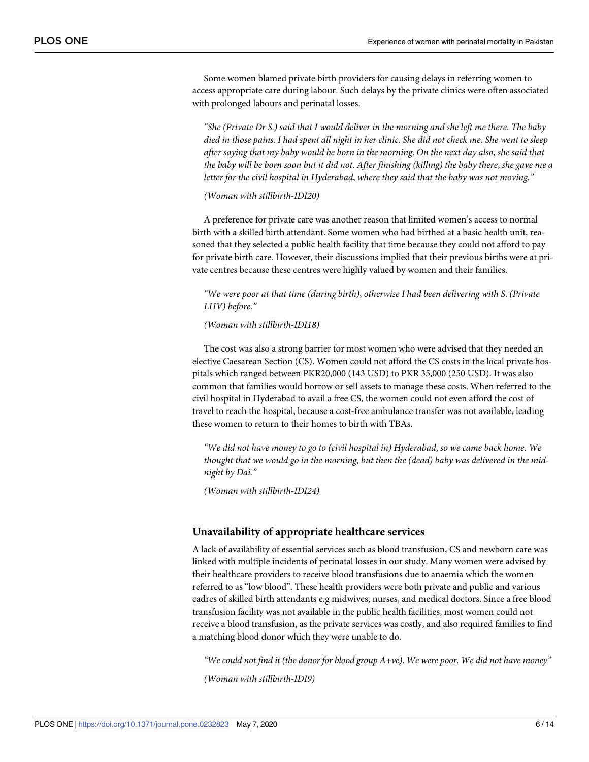Some women blamed private birth providers for causing delays in referring women to access appropriate care during labour. Such delays by the private clinics were often associated with prolonged labours and perinatal losses.

"She (Private Dr S.) said that I would deliver in the morning and she left me there. The baby died in those pains. I had spent all night in her clinic. She did not check me. She went to sleep *after saying that my baby would be born in the morning*. *On the next day also*, *she said that* the baby will be born soon but it did not. After finishing (killing) the baby there, she gave me a *letter for the civil hospital in Hyderabad*, *where they said that the baby was not moving."*

*(Woman with stillbirth-IDI20)*

A preference for private care was another reason that limited women's access to normal birth with a skilled birth attendant. Some women who had birthed at a basic health unit, reasoned that they selected a public health facility that time because they could not afford to pay for private birth care. However, their discussions implied that their previous births were at private centres because these centres were highly valued by women and their families.

*"We were poor at that time (during birth)*, *otherwise I had been delivering with S*. *(Private LHV) before."*

*(Woman with stillbirth-IDI18)*

The cost was also a strong barrier for most women who were advised that they needed an elective Caesarean Section (CS). Women could not afford the CS costs in the local private hospitals which ranged between PKR20,000 (143 USD) to PKR 35,000 (250 USD). It was also common that families would borrow or sell assets to manage these costs. When referred to the civil hospital in Hyderabad to avail a free CS, the women could not even afford the cost of travel to reach the hospital, because a cost-free ambulance transfer was not available, leading these women to return to their homes to birth with TBAs.

*"We did not have money to go to (civil hospital in) Hyderabad*, *so we came back home*. *We thought that we would go in the morning*, *but then the (dead) baby was delivered in the midnight by Dai."*

*(Woman with stillbirth-IDI24)*

#### **Unavailability of appropriate healthcare services**

A lack of availability of essential services such as blood transfusion, CS and newborn care was linked with multiple incidents of perinatal losses in our study. Many women were advised by their healthcare providers to receive blood transfusions due to anaemia which the women referred to as "low blood". These health providers were both private and public and various cadres of skilled birth attendants e.g midwives, nurses, and medical doctors. Since a free blood transfusion facility was not available in the public health facilities, most women could not receive a blood transfusion, as the private services was costly, and also required families to find a matching blood donor which they were unable to do.

"We could not find it (the donor for blood group  $A+ve$ ). We were poor. We did not have money" *(Woman with stillbirth-IDI9)*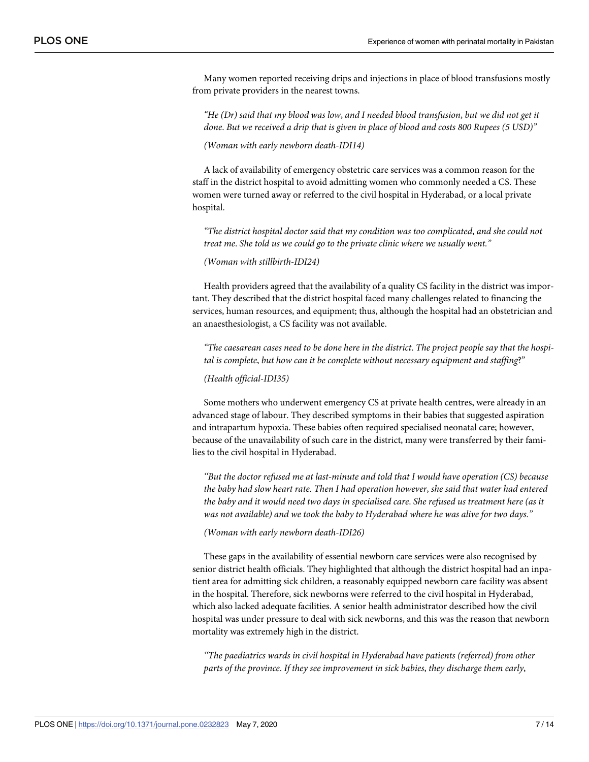Many women reported receiving drips and injections in place of blood transfusions mostly from private providers in the nearest towns.

*"He (Dr) said that my blood was low*, *and I needed blood transfusion*, *but we did not get it done*. *But we received a drip that is given in place of blood and costs 800 Rupees (5 USD)"*

*(Woman with early newborn death-IDI14)*

A lack of availability of emergency obstetric care services was a common reason for the staff in the district hospital to avoid admitting women who commonly needed a CS. These women were turned away or referred to the civil hospital in Hyderabad, or a local private hospital.

*"The district hospital doctor said that my condition was too complicated*, *and she could not treat me*. *She told us we could go to the private clinic where we usually went."*

*(Woman with stillbirth-IDI24)*

Health providers agreed that the availability of a quality CS facility in the district was important. They described that the district hospital faced many challenges related to financing the services, human resources, and equipment; thus, although the hospital had an obstetrician and an anaesthesiologist, a CS facility was not available.

*"The caesarean cases need to be done here in the district*. *The project people say that the hospital is complete*, *but how can it be complete without necessary equipment and staffing*?"

*(Health official-IDI35)*

Some mothers who underwent emergency CS at private health centres, were already in an advanced stage of labour. They described symptoms in their babies that suggested aspiration and intrapartum hypoxia. These babies often required specialised neonatal care; however, because of the unavailability of such care in the district, many were transferred by their families to the civil hospital in Hyderabad.

*''But the doctor refused me at last-minute and told that I would have operation (CS) because the baby had slow heart rate*. *Then I had operation however*, *she said that water had entered the baby and it would need two days in specialised care*. *She refused us treatment here (as it was not available) and we took the baby to Hyderabad where he was alive for two days."*

*(Woman with early newborn death-IDI26)*

These gaps in the availability of essential newborn care services were also recognised by senior district health officials. They highlighted that although the district hospital had an inpatient area for admitting sick children, a reasonably equipped newborn care facility was absent in the hospital. Therefore, sick newborns were referred to the civil hospital in Hyderabad, which also lacked adequate facilities. A senior health administrator described how the civil hospital was under pressure to deal with sick newborns, and this was the reason that newborn mortality was extremely high in the district.

*''The paediatrics wards in civil hospital in Hyderabad have patients (referred) from other parts of the province*. *If they see improvement in sick babies*, *they discharge them early*,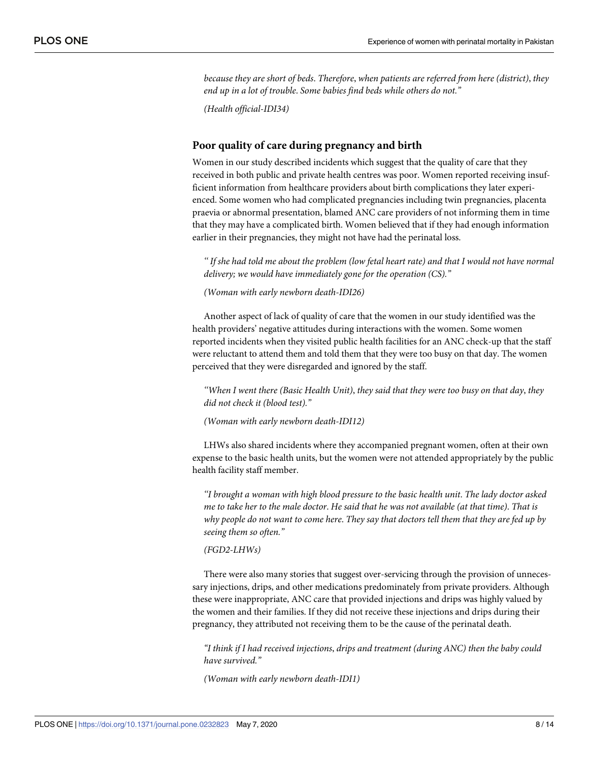*because they are short of beds*. *Therefore*, *when patients are referred from here (district)*, *they end up in a lot of trouble*. *Some babies find beds while others do not."*

*(Health official-IDI34)*

## **Poor quality of care during pregnancy and birth**

Women in our study described incidents which suggest that the quality of care that they received in both public and private health centres was poor. Women reported receiving insufficient information from healthcare providers about birth complications they later experienced. Some women who had complicated pregnancies including twin pregnancies, placenta praevia or abnormal presentation, blamed ANC care providers of not informing them in time that they may have a complicated birth. Women believed that if they had enough information earlier in their pregnancies, they might not have had the perinatal loss.

"If she had told me about the problem (low fetal heart rate) and that I would not have normal *delivery; we would have immediately gone for the operation (CS)."*

*(Woman with early newborn death-IDI26)*

Another aspect of lack of quality of care that the women in our study identified was the health providers' negative attitudes during interactions with the women. Some women reported incidents when they visited public health facilities for an ANC check-up that the staff were reluctant to attend them and told them that they were too busy on that day. The women perceived that they were disregarded and ignored by the staff.

*''When I went there (Basic Health Unit)*, *they said that they were too busy on that day*, *they did not check it (blood test)."*

*(Woman with early newborn death-IDI12)*

LHWs also shared incidents where they accompanied pregnant women, often at their own expense to the basic health units, but the women were not attended appropriately by the public health facility staff member.

*''I brought a woman with high blood pressure to the basic health unit*. *The lady doctor asked* me to take her to the male doctor. He said that he was not available (at that time). That is why people do not want to come here. They say that doctors tell them that they are fed up by *seeing them so often."*

#### *(FGD2-LHWs)*

There were also many stories that suggest over-servicing through the provision of unnecessary injections, drips, and other medications predominately from private providers. Although these were inappropriate, ANC care that provided injections and drips was highly valued by the women and their families. If they did not receive these injections and drips during their pregnancy, they attributed not receiving them to be the cause of the perinatal death.

*"I think if I had received injections*, *drips and treatment (during ANC) then the baby could have survived."*

*(Woman with early newborn death-IDI1)*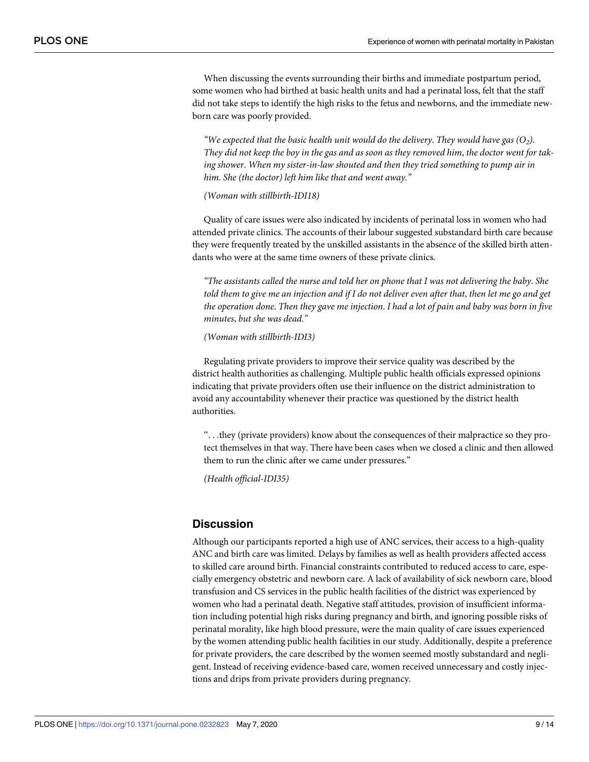When discussing the events surrounding their births and immediate postpartum period, some women who had birthed at basic health units and had a perinatal loss, felt that the staff did not take steps to identify the high risks to the fetus and newborns, and the immediate newborn care was poorly provided.

*"We expected that the basic health unit would do the delivery*. *They would have gas (O2)*. They did not keep the boy in the gas and as soon as they removed him, the doctor went for tak*ing shower*. *When my sister-in-law shouted and then they tried something to pump air in him*. *She (the doctor) left him like that and went away."*

*(Woman with stillbirth-IDI18)*

Quality of care issues were also indicated by incidents of perinatal loss in women who had attended private clinics. The accounts of their labour suggested substandard birth care because they were frequently treated by the unskilled assistants in the absence of the skilled birth attendants who were at the same time owners of these private clinics.

*"The assistants called the nurse and told her on phone that I was not delivering the baby*. *She* told them to give me an injection and if I do not deliver even after that, then let me go and get the operation done. Then they gave me injection. I had a lot of pain and baby was born in five *minutes*, *but she was dead."*

*(Woman with stillbirth-IDI3)*

Regulating private providers to improve their service quality was described by the district health authorities as challenging. Multiple public health officials expressed opinions indicating that private providers often use their influence on the district administration to avoid any accountability whenever their practice was questioned by the district health authorities.

''. . .they (private providers) know about the consequences of their malpractice so they protect themselves in that way. There have been cases when we closed a clinic and then allowed them to run the clinic after we came under pressures."

*(Health official-IDI35)*

## **Discussion**

Although our participants reported a high use of ANC services, their access to a high-quality ANC and birth care was limited. Delays by families as well as health providers affected access to skilled care around birth. Financial constraints contributed to reduced access to care, especially emergency obstetric and newborn care. A lack of availability of sick newborn care, blood transfusion and CS services in the public health facilities of the district was experienced by women who had a perinatal death. Negative staff attitudes, provision of insufficient information including potential high risks during pregnancy and birth, and ignoring possible risks of perinatal morality, like high blood pressure, were the main quality of care issues experienced by the women attending public health facilities in our study. Additionally, despite a preference for private providers, the care described by the women seemed mostly substandard and negligent. Instead of receiving evidence-based care, women received unnecessary and costly injections and drips from private providers during pregnancy.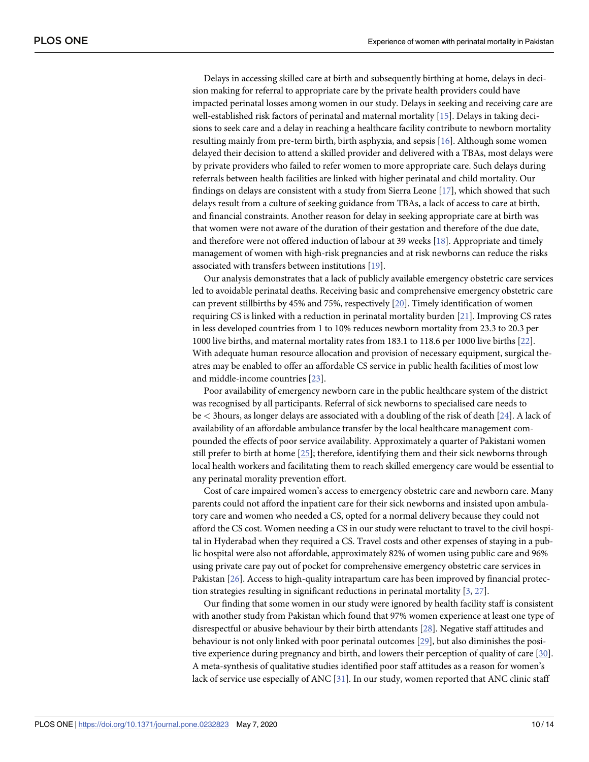<span id="page-9-0"></span>Delays in accessing skilled care at birth and subsequently birthing at home, delays in decision making for referral to appropriate care by the private health providers could have impacted perinatal losses among women in our study. Delays in seeking and receiving care are well-established risk factors of perinatal and maternal mortality [\[15\]](#page-12-0). Delays in taking decisions to seek care and a delay in reaching a healthcare facility contribute to newborn mortality resulting mainly from pre-term birth, birth asphyxia, and sepsis [\[16\]](#page-12-0). Although some women delayed their decision to attend a skilled provider and delivered with a TBAs, most delays were by private providers who failed to refer women to more appropriate care. Such delays during referrals between health facilities are linked with higher perinatal and child mortality. Our findings on delays are consistent with a study from Sierra Leone [\[17\]](#page-12-0), which showed that such delays result from a culture of seeking guidance from TBAs, a lack of access to care at birth, and financial constraints. Another reason for delay in seeking appropriate care at birth was that women were not aware of the duration of their gestation and therefore of the due date, and therefore were not offered induction of labour at 39 weeks [[18](#page-12-0)]. Appropriate and timely management of women with high-risk pregnancies and at risk newborns can reduce the risks associated with transfers between institutions [[19](#page-12-0)].

Our analysis demonstrates that a lack of publicly available emergency obstetric care services led to avoidable perinatal deaths. Receiving basic and comprehensive emergency obstetric care can prevent stillbirths by 45% and 75%, respectively [[20](#page-13-0)]. Timely identification of women requiring CS is linked with a reduction in perinatal mortality burden [\[21\]](#page-13-0). Improving CS rates in less developed countries from 1 to 10% reduces newborn mortality from 23.3 to 20.3 per 1000 live births, and maternal mortality rates from 183.1 to 118.6 per 1000 live births [\[22\]](#page-13-0). With adequate human resource allocation and provision of necessary equipment, surgical theatres may be enabled to offer an affordable CS service in public health facilities of most low and middle-income countries [[23](#page-13-0)].

Poor availability of emergency newborn care in the public healthcare system of the district was recognised by all participants. Referral of sick newborns to specialised care needs to be *<* 3hours, as longer delays are associated with a doubling of the risk of death [[24](#page-13-0)]. A lack of availability of an affordable ambulance transfer by the local healthcare management compounded the effects of poor service availability. Approximately a quarter of Pakistani women still prefer to birth at home [[25](#page-13-0)]; therefore, identifying them and their sick newborns through local health workers and facilitating them to reach skilled emergency care would be essential to any perinatal morality prevention effort.

Cost of care impaired women's access to emergency obstetric care and newborn care. Many parents could not afford the inpatient care for their sick newborns and insisted upon ambulatory care and women who needed a CS, opted for a normal delivery because they could not afford the CS cost. Women needing a CS in our study were reluctant to travel to the civil hospital in Hyderabad when they required a CS. Travel costs and other expenses of staying in a public hospital were also not affordable, approximately 82% of women using public care and 96% using private care pay out of pocket for comprehensive emergency obstetric care services in Pakistan [[26](#page-13-0)]. Access to high-quality intrapartum care has been improved by financial protection strategies resulting in significant reductions in perinatal mortality [\[3](#page-12-0), [27](#page-13-0)].

Our finding that some women in our study were ignored by health facility staff is consistent with another study from Pakistan which found that 97% women experience at least one type of disrespectful or abusive behaviour by their birth attendants [\[28\]](#page-13-0). Negative staff attitudes and behaviour is not only linked with poor perinatal outcomes [[29](#page-13-0)], but also diminishes the positive experience during pregnancy and birth, and lowers their perception of quality of care [\[30\]](#page-13-0). A meta-synthesis of qualitative studies identified poor staff attitudes as a reason for women's lack of service use especially of ANC [[31](#page-13-0)]. In our study, women reported that ANC clinic staff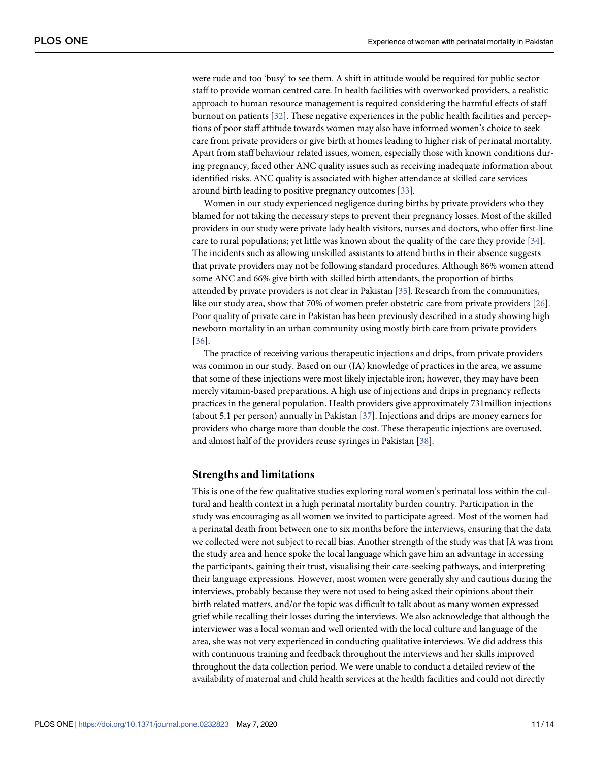<span id="page-10-0"></span>were rude and too 'busy' to see them. A shift in attitude would be required for public sector staff to provide woman centred care. In health facilities with overworked providers, a realistic approach to human resource management is required considering the harmful effects of staff burnout on patients [[32](#page-13-0)]. These negative experiences in the public health facilities and perceptions of poor staff attitude towards women may also have informed women's choice to seek care from private providers or give birth at homes leading to higher risk of perinatal mortality. Apart from staff behaviour related issues, women, especially those with known conditions during pregnancy, faced other ANC quality issues such as receiving inadequate information about identified risks. ANC quality is associated with higher attendance at skilled care services around birth leading to positive pregnancy outcomes [\[33\]](#page-13-0).

Women in our study experienced negligence during births by private providers who they blamed for not taking the necessary steps to prevent their pregnancy losses. Most of the skilled providers in our study were private lady health visitors, nurses and doctors, who offer first-line care to rural populations; yet little was known about the quality of the care they provide [[34](#page-13-0)]. The incidents such as allowing unskilled assistants to attend births in their absence suggests that private providers may not be following standard procedures. Although 86% women attend some ANC and 66% give birth with skilled birth attendants, the proportion of births attended by private providers is not clear in Pakistan [\[35\]](#page-13-0). Research from the communities, like our study area, show that 70% of women prefer obstetric care from private providers [\[26\]](#page-13-0). Poor quality of private care in Pakistan has been previously described in a study showing high newborn mortality in an urban community using mostly birth care from private providers [\[36\]](#page-13-0).

The practice of receiving various therapeutic injections and drips, from private providers was common in our study. Based on our (JA) knowledge of practices in the area, we assume that some of these injections were most likely injectable iron; however, they may have been merely vitamin-based preparations. A high use of injections and drips in pregnancy reflects practices in the general population. Health providers give approximately 731million injections (about 5.1 per person) annually in Pakistan [\[37\]](#page-13-0). Injections and drips are money earners for providers who charge more than double the cost. These therapeutic injections are overused, and almost half of the providers reuse syringes in Pakistan [\[38\]](#page-13-0).

## **Strengths and limitations**

This is one of the few qualitative studies exploring rural women's perinatal loss within the cultural and health context in a high perinatal mortality burden country. Participation in the study was encouraging as all women we invited to participate agreed. Most of the women had a perinatal death from between one to six months before the interviews, ensuring that the data we collected were not subject to recall bias. Another strength of the study was that JA was from the study area and hence spoke the local language which gave him an advantage in accessing the participants, gaining their trust, visualising their care-seeking pathways, and interpreting their language expressions. However, most women were generally shy and cautious during the interviews, probably because they were not used to being asked their opinions about their birth related matters, and/or the topic was difficult to talk about as many women expressed grief while recalling their losses during the interviews. We also acknowledge that although the interviewer was a local woman and well oriented with the local culture and language of the area, she was not very experienced in conducting qualitative interviews. We did address this with continuous training and feedback throughout the interviews and her skills improved throughout the data collection period. We were unable to conduct a detailed review of the availability of maternal and child health services at the health facilities and could not directly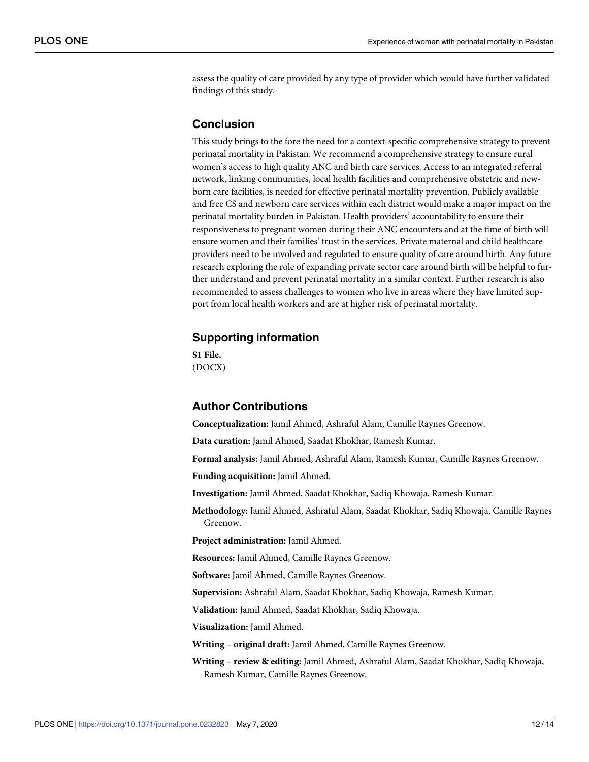assess the quality of care provided by any type of provider which would have further validated findings of this study.

## **Conclusion**

This study brings to the fore the need for a context-specific comprehensive strategy to prevent perinatal mortality in Pakistan. We recommend a comprehensive strategy to ensure rural women's access to high quality ANC and birth care services. Access to an integrated referral network, linking communities, local health facilities and comprehensive obstetric and newborn care facilities, is needed for effective perinatal mortality prevention. Publicly available and free CS and newborn care services within each district would make a major impact on the perinatal mortality burden in Pakistan. Health providers' accountability to ensure their responsiveness to pregnant women during their ANC encounters and at the time of birth will ensure women and their families' trust in the services. Private maternal and child healthcare providers need to be involved and regulated to ensure quality of care around birth. Any future research exploring the role of expanding private sector care around birth will be helpful to further understand and prevent perinatal mortality in a similar context. Further research is also recommended to assess challenges to women who live in areas where they have limited support from local health workers and are at higher risk of perinatal mortality.

## **Supporting information**

**S1 [File.](http://www.plosone.org/article/fetchSingleRepresentation.action?uri=info:doi/10.1371/journal.pone.0232823.s001)** (DOCX)

## **Author Contributions**

**Conceptualization:** Jamil Ahmed, Ashraful Alam, Camille Raynes Greenow.

**Data curation:** Jamil Ahmed, Saadat Khokhar, Ramesh Kumar.

**Formal analysis:** Jamil Ahmed, Ashraful Alam, Ramesh Kumar, Camille Raynes Greenow.

**Funding acquisition:** Jamil Ahmed.

**Investigation:** Jamil Ahmed, Saadat Khokhar, Sadiq Khowaja, Ramesh Kumar.

**Methodology:** Jamil Ahmed, Ashraful Alam, Saadat Khokhar, Sadiq Khowaja, Camille Raynes Greenow.

**Project administration:** Jamil Ahmed.

**Resources:** Jamil Ahmed, Camille Raynes Greenow.

**Software:** Jamil Ahmed, Camille Raynes Greenow.

**Supervision:** Ashraful Alam, Saadat Khokhar, Sadiq Khowaja, Ramesh Kumar.

**Validation:** Jamil Ahmed, Saadat Khokhar, Sadiq Khowaja.

**Visualization:** Jamil Ahmed.

**Writing – original draft:** Jamil Ahmed, Camille Raynes Greenow.

**Writing – review & editing:** Jamil Ahmed, Ashraful Alam, Saadat Khokhar, Sadiq Khowaja, Ramesh Kumar, Camille Raynes Greenow.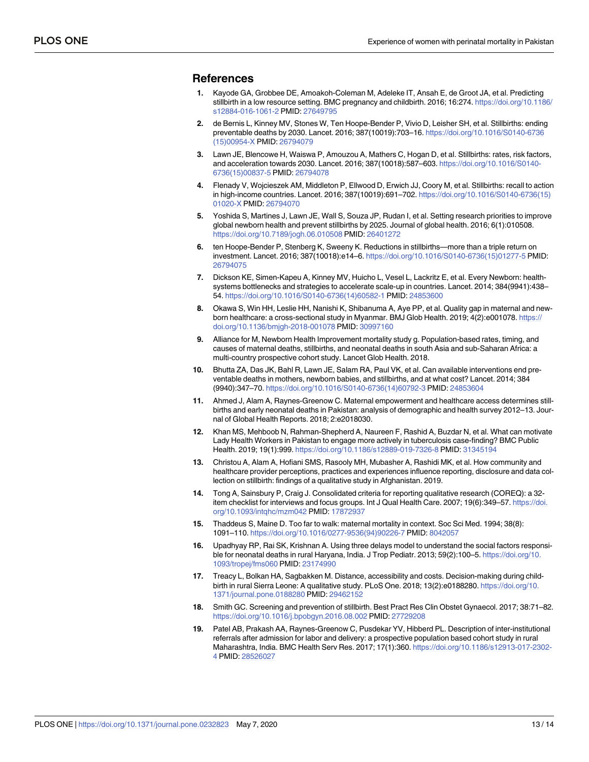#### <span id="page-12-0"></span>**References**

- **[1](#page-1-0).** Kayode GA, Grobbee DE, Amoakoh-Coleman M, Adeleke IT, Ansah E, de Groot JA, et al. Predicting stillbirth in a low resource setting. BMC pregnancy and childbirth. 2016; 16:274. [https://doi.org/10.1186/](https://doi.org/10.1186/s12884-016-1061-2) [s12884-016-1061-2](https://doi.org/10.1186/s12884-016-1061-2) PMID: [27649795](http://www.ncbi.nlm.nih.gov/pubmed/27649795)
- **[2](#page-1-0).** de Bernis L, Kinney MV, Stones W, Ten Hoope-Bender P, Vivio D, Leisher SH, et al. Stillbirths: ending preventable deaths by 2030. Lancet. 2016; 387(10019):703–16. [https://doi.org/10.1016/S0140-6736](https://doi.org/10.1016/S0140-6736(15)00954-X) [\(15\)00954-X](https://doi.org/10.1016/S0140-6736(15)00954-X) PMID: [26794079](http://www.ncbi.nlm.nih.gov/pubmed/26794079)
- **[3](#page-1-0).** Lawn JE, Blencowe H, Waiswa P, Amouzou A, Mathers C, Hogan D, et al. Stillbirths: rates, risk factors, and acceleration towards 2030. Lancet. 2016; 387(10018):587–603. [https://doi.org/10.1016/S0140-](https://doi.org/10.1016/S0140-6736(15)00837-5) [6736\(15\)00837-5](https://doi.org/10.1016/S0140-6736(15)00837-5) PMID: [26794078](http://www.ncbi.nlm.nih.gov/pubmed/26794078)
- **[4](#page-1-0).** Flenady V, Wojcieszek AM, Middleton P, Ellwood D, Erwich JJ, Coory M, et al. Stillbirths: recall to action in high-income countries. Lancet. 2016; 387(10019):691–702. [https://doi.org/10.1016/S0140-6736\(15\)](https://doi.org/10.1016/S0140-6736(15)01020-X) [01020-X](https://doi.org/10.1016/S0140-6736(15)01020-X) PMID: [26794070](http://www.ncbi.nlm.nih.gov/pubmed/26794070)
- **[5](#page-1-0).** Yoshida S, Martines J, Lawn JE, Wall S, Souza JP, Rudan I, et al. Setting research priorities to improve global newborn health and prevent stillbirths by 2025. Journal of global health. 2016; 6(1):010508. <https://doi.org/10.7189/jogh.06.010508> PMID: [26401272](http://www.ncbi.nlm.nih.gov/pubmed/26401272)
- **[6](#page-1-0).** ten Hoope-Bender P, Stenberg K, Sweeny K. Reductions in stillbirths—more than a triple return on investment. Lancet. 2016; 387(10018):e14–6. [https://doi.org/10.1016/S0140-6736\(15\)01277-5](https://doi.org/10.1016/S0140-6736(15)01277-5) PMID: [26794075](http://www.ncbi.nlm.nih.gov/pubmed/26794075)
- **[7](#page-1-0).** Dickson KE, Simen-Kapeu A, Kinney MV, Huicho L, Vesel L, Lackritz E, et al. Every Newborn: healthsystems bottlenecks and strategies to accelerate scale-up in countries. Lancet. 2014; 384(9941):438– 54. [https://doi.org/10.1016/S0140-6736\(14\)60582-1](https://doi.org/10.1016/S0140-6736(14)60582-1) PMID: [24853600](http://www.ncbi.nlm.nih.gov/pubmed/24853600)
- **[8](#page-1-0).** Okawa S, Win HH, Leslie HH, Nanishi K, Shibanuma A, Aye PP, et al. Quality gap in maternal and newborn healthcare: a cross-sectional study in Myanmar. BMJ Glob Health. 2019; 4(2):e001078. [https://](https://doi.org/10.1136/bmjgh-2018-001078) [doi.org/10.1136/bmjgh-2018-001078](https://doi.org/10.1136/bmjgh-2018-001078) PMID: [30997160](http://www.ncbi.nlm.nih.gov/pubmed/30997160)
- **[9](#page-1-0).** Alliance for M, Newborn Health Improvement mortality study g. Population-based rates, timing, and causes of maternal deaths, stillbirths, and neonatal deaths in south Asia and sub-Saharan Africa: a multi-country prospective cohort study. Lancet Glob Health. 2018.
- **[10](#page-1-0).** Bhutta ZA, Das JK, Bahl R, Lawn JE, Salam RA, Paul VK, et al. Can available interventions end preventable deaths in mothers, newborn babies, and stillbirths, and at what cost? Lancet. 2014; 384 (9940):347–70. [https://doi.org/10.1016/S0140-6736\(14\)60792-3](https://doi.org/10.1016/S0140-6736(14)60792-3) PMID: [24853604](http://www.ncbi.nlm.nih.gov/pubmed/24853604)
- **[11](#page-1-0).** Ahmed J, Alam A, Raynes-Greenow C. Maternal empowerment and healthcare access determines stillbirths and early neonatal deaths in Pakistan: analysis of demographic and health survey 2012–13. Journal of Global Health Reports. 2018; 2:e2018030.
- **[12](#page-2-0).** Khan MS, Mehboob N, Rahman-Shepherd A, Naureen F, Rashid A, Buzdar N, et al. What can motivate Lady Health Workers in Pakistan to engage more actively in tuberculosis case-finding? BMC Public Health. 2019; 19(1):999. <https://doi.org/10.1186/s12889-019-7326-8> PMID: [31345194](http://www.ncbi.nlm.nih.gov/pubmed/31345194)
- **[13](#page-2-0).** Christou A, Alam A, Hofiani SMS, Rasooly MH, Mubasher A, Rashidi MK, et al. How community and healthcare provider perceptions, practices and experiences influence reporting, disclosure and data collection on stillbirth: findings of a qualitative study in Afghanistan. 2019.
- **[14](#page-3-0).** Tong A, Sainsbury P, Craig J. Consolidated criteria for reporting qualitative research (COREQ): a 32 item checklist for interviews and focus groups. Int J Qual Health Care. 2007; 19(6):349–57. [https://doi.](https://doi.org/10.1093/intqhc/mzm042) [org/10.1093/intqhc/mzm042](https://doi.org/10.1093/intqhc/mzm042) PMID: [17872937](http://www.ncbi.nlm.nih.gov/pubmed/17872937)
- **[15](#page-9-0).** Thaddeus S, Maine D. Too far to walk: maternal mortality in context. Soc Sci Med. 1994; 38(8): 1091–110. [https://doi.org/10.1016/0277-9536\(94\)90226-7](https://doi.org/10.1016/0277-9536(94)90226-7) PMID: [8042057](http://www.ncbi.nlm.nih.gov/pubmed/8042057)
- **[16](#page-9-0).** Upadhyay RP, Rai SK, Krishnan A. Using three delays model to understand the social factors responsible for neonatal deaths in rural Haryana, India. J Trop Pediatr. 2013; 59(2):100–5. [https://doi.org/10.](https://doi.org/10.1093/tropej/fms060) [1093/tropej/fms060](https://doi.org/10.1093/tropej/fms060) PMID: [23174990](http://www.ncbi.nlm.nih.gov/pubmed/23174990)
- **[17](#page-9-0).** Treacy L, Bolkan HA, Sagbakken M. Distance, accessibility and costs. Decision-making during childbirth in rural Sierra Leone: A qualitative study. PLoS One. 2018; 13(2):e0188280. [https://doi.org/10.](https://doi.org/10.1371/journal.pone.0188280) [1371/journal.pone.0188280](https://doi.org/10.1371/journal.pone.0188280) PMID: [29462152](http://www.ncbi.nlm.nih.gov/pubmed/29462152)
- **[18](#page-9-0).** Smith GC. Screening and prevention of stillbirth. Best Pract Res Clin Obstet Gynaecol. 2017; 38:71–82. <https://doi.org/10.1016/j.bpobgyn.2016.08.002> PMID: [27729208](http://www.ncbi.nlm.nih.gov/pubmed/27729208)
- **[19](#page-9-0).** Patel AB, Prakash AA, Raynes-Greenow C, Pusdekar YV, Hibberd PL. Description of inter-institutional referrals after admission for labor and delivery: a prospective population based cohort study in rural Maharashtra, India. BMC Health Serv Res. 2017; 17(1):360. [https://doi.org/10.1186/s12913-017-2302-](https://doi.org/10.1186/s12913-017-2302-4) [4](https://doi.org/10.1186/s12913-017-2302-4) PMID: [28526027](http://www.ncbi.nlm.nih.gov/pubmed/28526027)